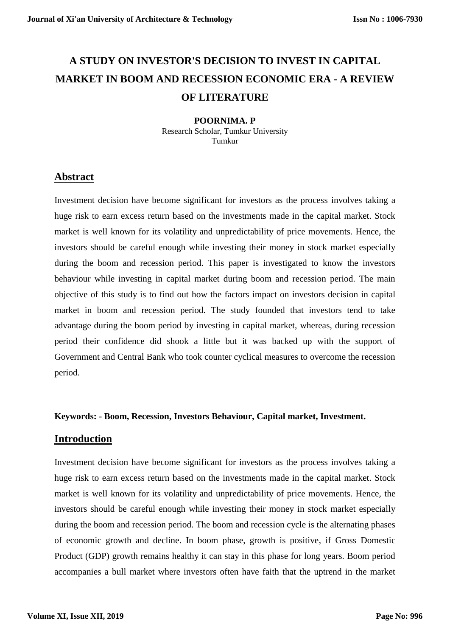# **A STUDY ON INVESTOR'S DECISION TO INVEST IN CAPITAL MARKET IN BOOM AND RECESSION ECONOMIC ERA - A REVIEW OF LITERATURE**

#### **POORNIMA. P** Research Scholar, Tumkur University Tumkur

## **Abstract**

Investment decision have become significant for investors as the process involves taking a huge risk to earn excess return based on the investments made in the capital market. Stock market is well known for its volatility and unpredictability of price movements. Hence, the investors should be careful enough while investing their money in stock market especially during the boom and recession period. This paper is investigated to know the investors behaviour while investing in capital market during boom and recession period. The main objective of this study is to find out how the factors impact on investors decision in capital market in boom and recession period. The study founded that investors tend to take advantage during the boom period by investing in capital market, whereas, during recession period their confidence did shook a little but it was backed up with the support of Government and Central Bank who took counter cyclical measures to overcome the recession period.

### **Keywords: - Boom, Recession, Investors Behaviour, Capital market, Investment.**

## **Introduction**

Investment decision have become significant for investors as the process involves taking a huge risk to earn excess return based on the investments made in the capital market. Stock market is well known for its volatility and unpredictability of price movements. Hence, the investors should be careful enough while investing their money in stock market especially during the boom and recession period. The boom and recession cycle is the alternating phases of economic growth and decline. In boom phase, growth is positive, if Gross Domestic Product (GDP) growth remains healthy it can stay in this phase for long years. Boom period accompanies a bull market where investors often have faith that the uptrend in the market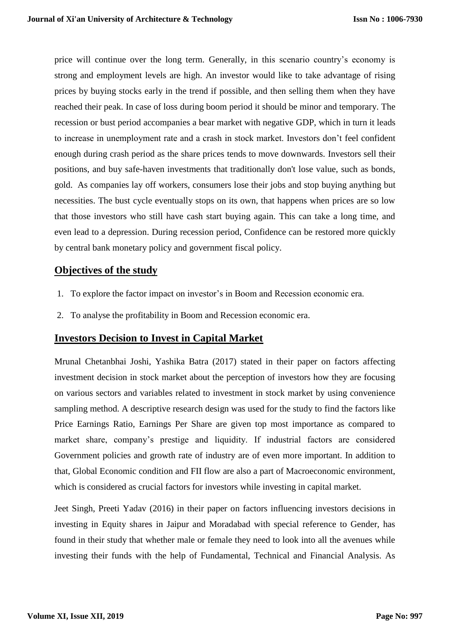price will continue over the long term. Generally, in this scenario country's economy is strong and employment levels are high. An investor would like to take advantage of rising prices by buying stocks early in the trend if possible, and then selling them when they have reached their peak. In case of loss during boom period it should be minor and temporary. The recession or bust period accompanies a bear market with negative GDP, which in turn it leads to increase in unemployment rate and a crash in stock market. Investors don't feel confident enough during crash period as the share prices tends to move downwards. Investors sell their positions, and buy safe-haven investments that traditionally don't lose value, such as bonds, gold. As companies lay off workers, consumers lose their jobs and stop buying anything but necessities. The bust cycle eventually stops on its own, that happens when prices are so low that those investors who still have cash start buying again. This can take a long time, and even lead to a depression. During recession period, Confidence can be restored more quickly by central bank [monetary policy](https://www.thebalance.com/what-is-monetary-policy-objectives-types-and-tools-3305867) and government fiscal policy.

## **Objectives of the study**

- 1. To explore the factor impact on investor's in Boom and Recession economic era.
- 2. To analyse the profitability in Boom and Recession economic era.

### **Investors Decision to Invest in Capital Market**

Mrunal Chetanbhai Joshi, Yashika Batra (2017) stated in their paper on factors affecting investment decision in stock market about the perception of investors how they are focusing on various sectors and variables related to investment in stock market by using convenience sampling method. A descriptive research design was used for the study to find the factors like Price Earnings Ratio, Earnings Per Share are given top most importance as compared to market share, company's prestige and liquidity. If industrial factors are considered Government policies and growth rate of industry are of even more important. In addition to that, Global Economic condition and FII flow are also a part of Macroeconomic environment, which is considered as crucial factors for investors while investing in capital market.

Jeet Singh, Preeti Yadav (2016) in their paper on factors influencing investors decisions in investing in Equity shares in Jaipur and Moradabad with special reference to Gender, has found in their study that whether male or female they need to look into all the avenues while investing their funds with the help of Fundamental, Technical and Financial Analysis. As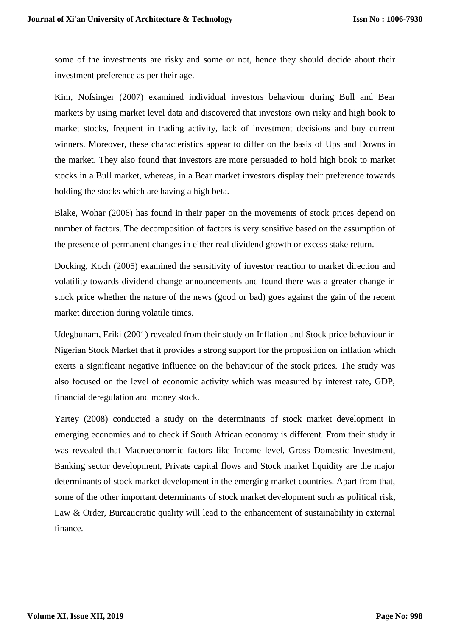some of the investments are risky and some or not, hence they should decide about their investment preference as per their age.

Kim, Nofsinger (2007) examined individual investors behaviour during Bull and Bear markets by using market level data and discovered that investors own risky and high book to market stocks, frequent in trading activity, lack of investment decisions and buy current winners. Moreover, these characteristics appear to differ on the basis of Ups and Downs in the market. They also found that investors are more persuaded to hold high book to market stocks in a Bull market, whereas, in a Bear market investors display their preference towards holding the stocks which are having a high beta.

Blake, Wohar (2006) has found in their paper on the movements of stock prices depend on number of factors. The decomposition of factors is very sensitive based on the assumption of the presence of permanent changes in either real dividend growth or excess stake return.

Docking, Koch (2005) examined the sensitivity of investor reaction to market direction and volatility towards dividend change announcements and found there was a greater change in stock price whether the nature of the news (good or bad) goes against the gain of the recent market direction during volatile times.

Udegbunam, Eriki (2001) revealed from their study on Inflation and Stock price behaviour in Nigerian Stock Market that it provides a strong support for the proposition on inflation which exerts a significant negative influence on the behaviour of the stock prices. The study was also focused on the level of economic activity which was measured by interest rate, GDP, financial deregulation and money stock.

Yartey (2008) conducted a study on the determinants of stock market development in emerging economies and to check if South African economy is different. From their study it was revealed that Macroeconomic factors like Income level, Gross Domestic Investment, Banking sector development, Private capital flows and Stock market liquidity are the major determinants of stock market development in the emerging market countries. Apart from that, some of the other important determinants of stock market development such as political risk, Law & Order, Bureaucratic quality will lead to the enhancement of sustainability in external finance.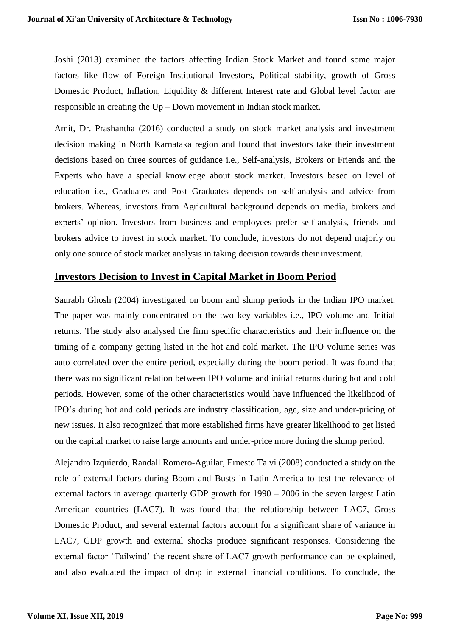Joshi (2013) examined the factors affecting Indian Stock Market and found some major factors like flow of Foreign Institutional Investors, Political stability, growth of Gross Domestic Product, Inflation, Liquidity & different Interest rate and Global level factor are responsible in creating the Up – Down movement in Indian stock market.

Amit, Dr. Prashantha (2016) conducted a study on stock market analysis and investment decision making in North Karnataka region and found that investors take their investment decisions based on three sources of guidance i.e., Self-analysis, Brokers or Friends and the Experts who have a special knowledge about stock market. Investors based on level of education i.e., Graduates and Post Graduates depends on self-analysis and advice from brokers. Whereas, investors from Agricultural background depends on media, brokers and experts' opinion. Investors from business and employees prefer self-analysis, friends and brokers advice to invest in stock market. To conclude, investors do not depend majorly on only one source of stock market analysis in taking decision towards their investment.

### **Investors Decision to Invest in Capital Market in Boom Period**

Saurabh Ghosh (2004) investigated on boom and slump periods in the Indian IPO market. The paper was mainly concentrated on the two key variables i.e., IPO volume and Initial returns. The study also analysed the firm specific characteristics and their influence on the timing of a company getting listed in the hot and cold market. The IPO volume series was auto correlated over the entire period, especially during the boom period. It was found that there was no significant relation between IPO volume and initial returns during hot and cold periods. However, some of the other characteristics would have influenced the likelihood of IPO's during hot and cold periods are industry classification, age, size and under-pricing of new issues. It also recognized that more established firms have greater likelihood to get listed on the capital market to raise large amounts and under-price more during the slump period.

Alejandro Izquierdo, Randall Romero-Aguilar, Ernesto Talvi (2008) conducted a study on the role of external factors during Boom and Busts in Latin America to test the relevance of external factors in average quarterly GDP growth for 1990 – 2006 in the seven largest Latin American countries (LAC7). It was found that the relationship between LAC7, Gross Domestic Product, and several external factors account for a significant share of variance in LAC7, GDP growth and external shocks produce significant responses. Considering the external factor 'Tailwind' the recent share of LAC7 growth performance can be explained, and also evaluated the impact of drop in external financial conditions. To conclude, the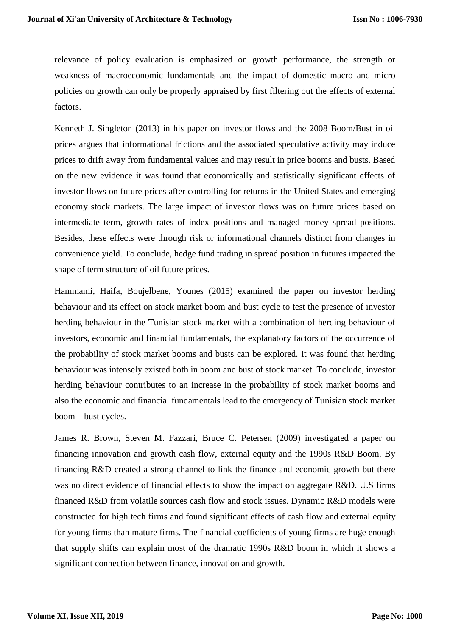relevance of policy evaluation is emphasized on growth performance, the strength or weakness of macroeconomic fundamentals and the impact of domestic macro and micro policies on growth can only be properly appraised by first filtering out the effects of external factors.

Kenneth J. Singleton (2013) in his paper on investor flows and the 2008 Boom/Bust in oil prices argues that informational frictions and the associated speculative activity may induce prices to drift away from fundamental values and may result in price booms and busts. Based on the new evidence it was found that economically and statistically significant effects of investor flows on future prices after controlling for returns in the United States and emerging economy stock markets. The large impact of investor flows was on future prices based on intermediate term, growth rates of index positions and managed money spread positions. Besides, these effects were through risk or informational channels distinct from changes in convenience yield. To conclude, hedge fund trading in spread position in futures impacted the shape of term structure of oil future prices.

Hammami, Haifa, Boujelbene, Younes (2015) examined the paper on investor herding behaviour and its effect on stock market boom and bust cycle to test the presence of investor herding behaviour in the Tunisian stock market with a combination of herding behaviour of investors, economic and financial fundamentals, the explanatory factors of the occurrence of the probability of stock market booms and busts can be explored. It was found that herding behaviour was intensely existed both in boom and bust of stock market. To conclude, investor herding behaviour contributes to an increase in the probability of stock market booms and also the economic and financial fundamentals lead to the emergency of Tunisian stock market boom – bust cycles.

James R. Brown, Steven M. Fazzari, Bruce C. Petersen (2009) investigated a paper on financing innovation and growth cash flow, external equity and the 1990s R&D Boom. By financing R&D created a strong channel to link the finance and economic growth but there was no direct evidence of financial effects to show the impact on aggregate R&D. U.S firms financed R&D from volatile sources cash flow and stock issues. Dynamic R&D models were constructed for high tech firms and found significant effects of cash flow and external equity for young firms than mature firms. The financial coefficients of young firms are huge enough that supply shifts can explain most of the dramatic 1990s R&D boom in which it shows a significant connection between finance, innovation and growth.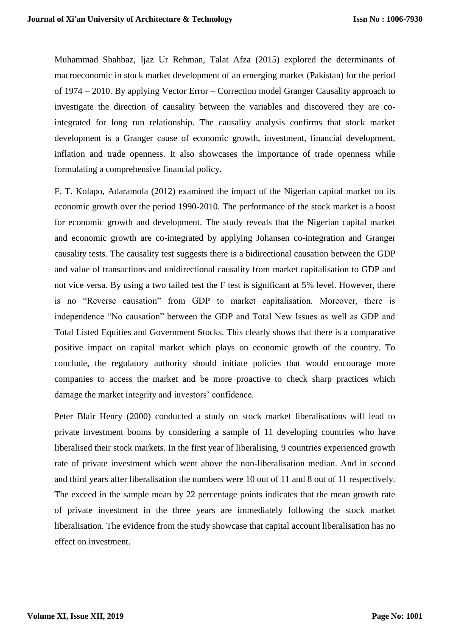Muhammad Shahbaz, Ijaz Ur Rehman, Talat Afza (2015) explored the determinants of macroeconomic in stock market development of an emerging market (Pakistan) for the period of 1974 – 2010. By applying Vector Error – Correction model Granger Causality approach to investigate the direction of causality between the variables and discovered they are cointegrated for long run relationship. The causality analysis confirms that stock market development is a Granger cause of economic growth, investment, financial development, inflation and trade openness. It also showcases the importance of trade openness while formulating a comprehensive financial policy.

F. T. Kolapo, Adaramola (2012) examined the impact of the Nigerian capital market on its economic growth over the period 1990-2010. The performance of the stock market is a boost for economic growth and development. The study reveals that the Nigerian capital market and economic growth are co-integrated by applying Johansen co-integration and Granger causality tests. The causality test suggests there is a bidirectional causation between the GDP and value of transactions and unidirectional causality from market capitalisation to GDP and not vice versa. By using a two tailed test the F test is significant at 5% level. However, there is no "Reverse causation" from GDP to market capitalisation. Moreover, there is independence "No causation" between the GDP and Total New Issues as well as GDP and Total Listed Equities and Government Stocks. This clearly shows that there is a comparative positive impact on capital market which plays on economic growth of the country. To conclude, the regulatory authority should initiate policies that would encourage more companies to access the market and be more proactive to check sharp practices which damage the market integrity and investors' confidence.

Peter Blair Henry (2000) conducted a study on stock market liberalisations will lead to private investment booms by considering a sample of 11 developing countries who have liberalised their stock markets. In the first year of liberalising, 9 countries experienced growth rate of private investment which went above the non-liberalisation median. And in second and third years after liberalisation the numbers were 10 out of 11 and 8 out of 11 respectively. The exceed in the sample mean by 22 percentage points indicates that the mean growth rate of private investment in the three years are immediately following the stock market liberalisation. The evidence from the study showcase that capital account liberalisation has no effect on investment.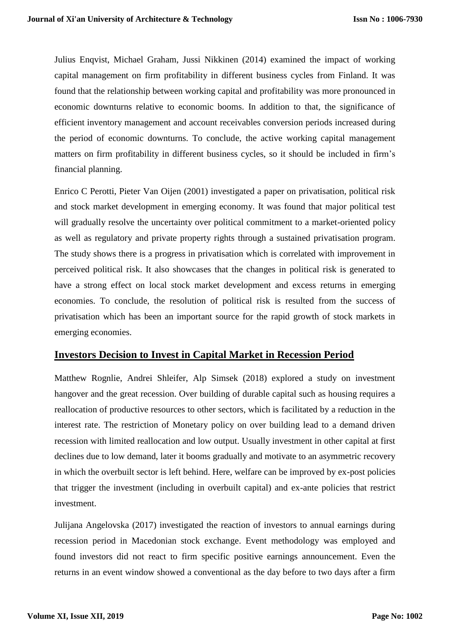Julius Enqvist, Michael Graham, Jussi Nikkinen (2014) examined the impact of working capital management on firm profitability in different business cycles from Finland. It was found that the relationship between working capital and profitability was more pronounced in economic downturns relative to economic booms. In addition to that, the significance of efficient inventory management and account receivables conversion periods increased during the period of economic downturns. To conclude, the active working capital management matters on firm profitability in different business cycles, so it should be included in firm's financial planning.

Enrico C Perotti, Pieter Van Oijen (2001) investigated a paper on privatisation, political risk and stock market development in emerging economy. It was found that major political test will gradually resolve the uncertainty over political commitment to a market-oriented policy as well as regulatory and private property rights through a sustained privatisation program. The study shows there is a progress in privatisation which is correlated with improvement in perceived political risk. It also showcases that the changes in political risk is generated to have a strong effect on local stock market development and excess returns in emerging economies. To conclude, the resolution of political risk is resulted from the success of privatisation which has been an important source for the rapid growth of stock markets in emerging economies.

### **Investors Decision to Invest in Capital Market in Recession Period**

Matthew Rognlie, Andrei Shleifer, Alp Simsek (2018) explored a study on investment hangover and the great recession. Over building of durable capital such as housing requires a reallocation of productive resources to other sectors, which is facilitated by a reduction in the interest rate. The restriction of Monetary policy on over building lead to a demand driven recession with limited reallocation and low output. Usually investment in other capital at first declines due to low demand, later it booms gradually and motivate to an asymmetric recovery in which the overbuilt sector is left behind. Here, welfare can be improved by ex-post policies that trigger the investment (including in overbuilt capital) and ex-ante policies that restrict investment.

Julijana Angelovska (2017) investigated the reaction of investors to annual earnings during recession period in Macedonian stock exchange. Event methodology was employed and found investors did not react to firm specific positive earnings announcement. Even the returns in an event window showed a conventional as the day before to two days after a firm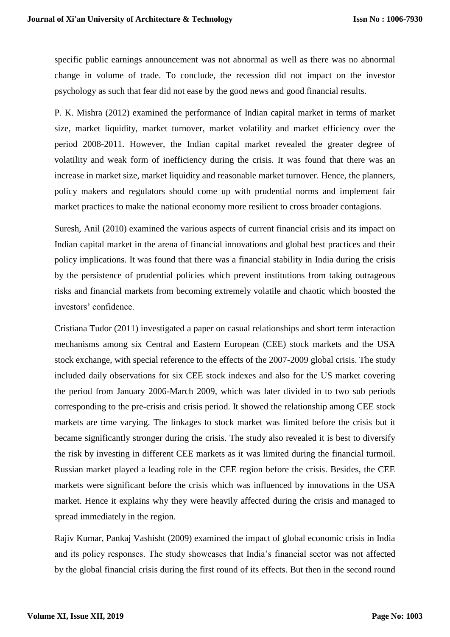specific public earnings announcement was not abnormal as well as there was no abnormal change in volume of trade. To conclude, the recession did not impact on the investor psychology as such that fear did not ease by the good news and good financial results.

P. K. Mishra (2012) examined the performance of Indian capital market in terms of market size, market liquidity, market turnover, market volatility and market efficiency over the period 2008-2011. However, the Indian capital market revealed the greater degree of volatility and weak form of inefficiency during the crisis. It was found that there was an increase in market size, market liquidity and reasonable market turnover. Hence, the planners, policy makers and regulators should come up with prudential norms and implement fair market practices to make the national economy more resilient to cross broader contagions.

Suresh, Anil (2010) examined the various aspects of current financial crisis and its impact on Indian capital market in the arena of financial innovations and global best practices and their policy implications. It was found that there was a financial stability in India during the crisis by the persistence of prudential policies which prevent institutions from taking outrageous risks and financial markets from becoming extremely volatile and chaotic which boosted the investors' confidence.

Cristiana Tudor (2011) investigated a paper on casual relationships and short term interaction mechanisms among six Central and Eastern European (CEE) stock markets and the USA stock exchange, with special reference to the effects of the 2007-2009 global crisis. The study included daily observations for six CEE stock indexes and also for the US market covering the period from January 2006-March 2009, which was later divided in to two sub periods corresponding to the pre-crisis and crisis period. It showed the relationship among CEE stock markets are time varying. The linkages to stock market was limited before the crisis but it became significantly stronger during the crisis. The study also revealed it is best to diversify the risk by investing in different CEE markets as it was limited during the financial turmoil. Russian market played a leading role in the CEE region before the crisis. Besides, the CEE markets were significant before the crisis which was influenced by innovations in the USA market. Hence it explains why they were heavily affected during the crisis and managed to spread immediately in the region.

Rajiv Kumar, Pankaj Vashisht (2009) examined the impact of global economic crisis in India and its policy responses. The study showcases that India's financial sector was not affected by the global financial crisis during the first round of its effects. But then in the second round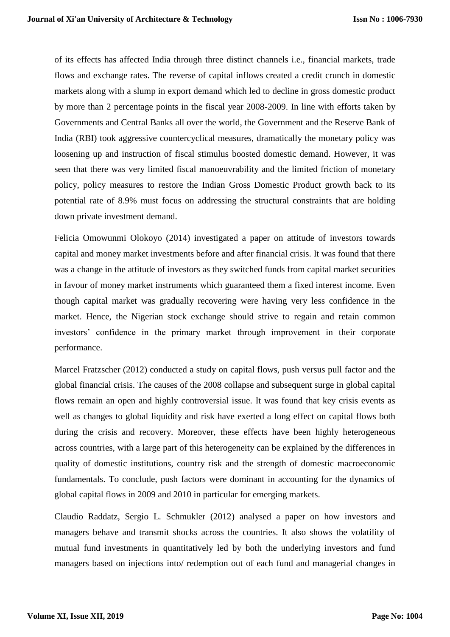of its effects has affected India through three distinct channels i.e., financial markets, trade flows and exchange rates. The reverse of capital inflows created a credit crunch in domestic markets along with a slump in export demand which led to decline in gross domestic product by more than 2 percentage points in the fiscal year 2008-2009. In line with efforts taken by Governments and Central Banks all over the world, the Government and the Reserve Bank of India (RBI) took aggressive countercyclical measures, dramatically the monetary policy was loosening up and instruction of fiscal stimulus boosted domestic demand. However, it was seen that there was very limited fiscal manoeuvrability and the limited friction of monetary policy, policy measures to restore the Indian Gross Domestic Product growth back to its potential rate of 8.9% must focus on addressing the structural constraints that are holding down private investment demand.

Felicia Omowunmi Olokoyo (2014) investigated a paper on attitude of investors towards capital and money market investments before and after financial crisis. It was found that there was a change in the attitude of investors as they switched funds from capital market securities in favour of money market instruments which guaranteed them a fixed interest income. Even though capital market was gradually recovering were having very less confidence in the market. Hence, the Nigerian stock exchange should strive to regain and retain common investors' confidence in the primary market through improvement in their corporate performance.

Marcel Fratzscher (2012) conducted a study on capital flows, push versus pull factor and the global financial crisis. The causes of the 2008 collapse and subsequent surge in global capital flows remain an open and highly controversial issue. It was found that key crisis events as well as changes to global liquidity and risk have exerted a long effect on capital flows both during the crisis and recovery. Moreover, these effects have been highly heterogeneous across countries, with a large part of this heterogeneity can be explained by the differences in quality of domestic institutions, country risk and the strength of domestic macroeconomic fundamentals. To conclude, push factors were dominant in accounting for the dynamics of global capital flows in 2009 and 2010 in particular for emerging markets.

Claudio Raddatz, Sergio L. Schmukler (2012) analysed a paper on how investors and managers behave and transmit shocks across the countries. It also shows the volatility of mutual fund investments in quantitatively led by both the underlying investors and fund managers based on injections into/ redemption out of each fund and managerial changes in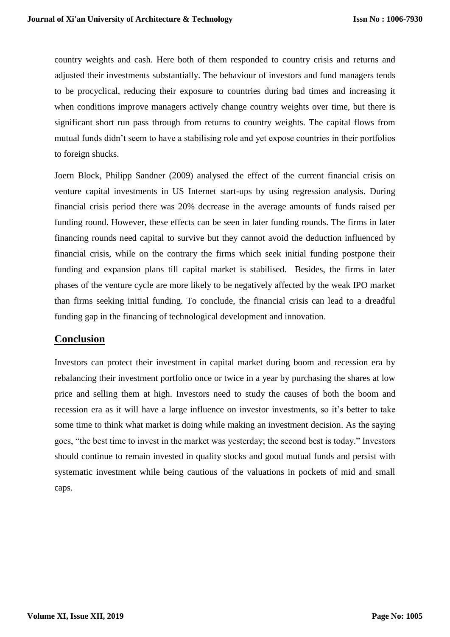country weights and cash. Here both of them responded to country crisis and returns and adjusted their investments substantially. The behaviour of investors and fund managers tends to be procyclical, reducing their exposure to countries during bad times and increasing it when conditions improve managers actively change country weights over time, but there is significant short run pass through from returns to country weights. The capital flows from mutual funds didn't seem to have a stabilising role and yet expose countries in their portfolios to foreign shucks.

Joern Block, Philipp Sandner (2009) analysed the effect of the current financial crisis on venture capital investments in US Internet start-ups by using regression analysis. During financial crisis period there was 20% decrease in the average amounts of funds raised per funding round. However, these effects can be seen in later funding rounds. The firms in later financing rounds need capital to survive but they cannot avoid the deduction influenced by financial crisis, while on the contrary the firms which seek initial funding postpone their funding and expansion plans till capital market is stabilised. Besides, the firms in later phases of the venture cycle are more likely to be negatively affected by the weak IPO market than firms seeking initial funding. To conclude, the financial crisis can lead to a dreadful funding gap in the financing of technological development and innovation.

### **Conclusion**

Investors can protect their investment in capital market during boom and recession era by rebalancing their investment portfolio once or twice in a year by purchasing the shares at low price and selling them at high. Investors need to study the causes of both the boom and recession era as it will have a large influence on investor investments, so it's better to take some time to think what market is doing while making an investment decision. As the saying goes, "the best time to invest in the market was yesterday; the second best is today." Investors should continue to remain invested in quality stocks and good mutual funds and persist with systematic investment while being cautious of the valuations in pockets of mid and small caps.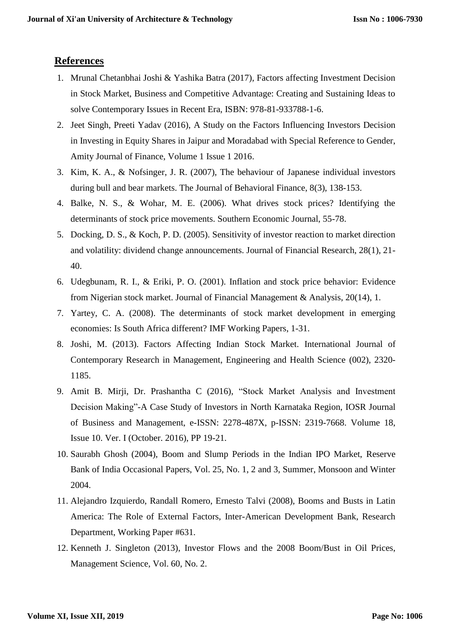## **References**

- 1. Mrunal Chetanbhai Joshi & Yashika Batra (2017), Factors affecting Investment Decision in Stock Market, Business and Competitive Advantage: Creating and Sustaining Ideas to solve Contemporary Issues in Recent Era, ISBN: 978-81-933788-1-6.
- 2. Jeet Singh, Preeti Yadav (2016), A Study on the Factors Influencing Investors Decision in Investing in Equity Shares in Jaipur and Moradabad with Special Reference to Gender, Amity Journal of Finance, Volume 1 Issue 1 2016.
- 3. Kim, K. A., & Nofsinger, J. R. (2007), The behaviour of Japanese individual investors during bull and bear markets. The Journal of Behavioral Finance, 8(3), 138-153.
- 4. Balke, N. S., & Wohar, M. E. (2006). What drives stock prices? Identifying the determinants of stock price movements. Southern Economic Journal, 55-78.
- 5. Docking, D. S., & Koch, P. D. (2005). Sensitivity of investor reaction to market direction and volatility: dividend change announcements. Journal of Financial Research, 28(1), 21- 40.
- 6. Udegbunam, R. I., & Eriki, P. O. (2001). Inflation and stock price behavior: Evidence from Nigerian stock market. Journal of Financial Management & Analysis, 20(14), 1.
- 7. Yartey, C. A. (2008). The determinants of stock market development in emerging economies: Is South Africa different? IMF Working Papers, 1-31.
- 8. Joshi, M. (2013). Factors Affecting Indian Stock Market. International Journal of Contemporary Research in Management, Engineering and Health Science (002), 2320- 1185.
- 9. Amit B. Mirji, Dr. Prashantha C (2016), "Stock Market Analysis and Investment Decision Making"-A Case Study of Investors in North Karnataka Region, IOSR Journal of Business and Management, e-ISSN: 2278-487X, p-ISSN: 2319-7668. Volume 18, Issue 10. Ver. I (October. 2016), PP 19-21.
- 10. Saurabh Ghosh (2004), Boom and Slump Periods in the Indian IPO Market, Reserve Bank of India Occasional Papers, Vol. 25, No. 1, 2 and 3, Summer, Monsoon and Winter 2004.
- 11. Alejandro Izquierdo, Randall Romero, Ernesto Talvi (2008), Booms and Busts in Latin America: The Role of External Factors, Inter-American Development Bank, Research Department, Working Paper #631.
- 12. [Kenneth J. Singleton](https://pubsonline.informs.org/action/doSearch?text1=Singleton%2C+Kenneth+J&field1=Contrib) (2013), Investor Flows and the 2008 Boom/Bust in Oil Prices, [Management Science,](https://pubsonline.informs.org/journal/mnsc) [Vol. 60, No. 2.](https://pubsonline.informs.org/toc/mnsc/60/2)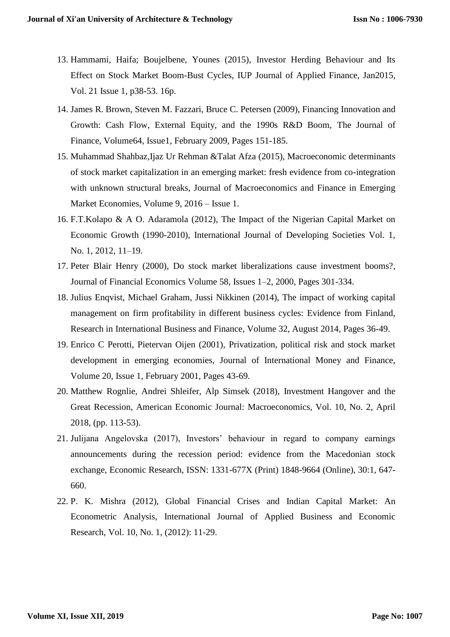- 13. Hammami, Haifa; Boujelbene, Younes (2015), Investor Herding Behaviour and Its Effect on Stock Market Boom-Bust Cycles, IUP Journal of Applied Finance, Jan2015, Vol. 21 Issue 1, p38-53. 16p.
- 14. [James R. Brown,](https://onlinelibrary.wiley.com/action/doSearch?ContribAuthorStored=BROWN%2C+JAMES+R) [Steven M. Fazzari,](https://onlinelibrary.wiley.com/action/doSearch?ContribAuthorStored=FAZZARI%2C+STEVEN+M) [Bruce C. Petersen](https://onlinelibrary.wiley.com/action/doSearch?ContribAuthorStored=PETERSEN%2C+BRUCE+C) (2009), Financing Innovation and Growth: Cash Flow, External Equity, and the 1990s R&D Boom, [The Journal of](https://onlinelibrary.wiley.com/journal/15406261)  [Finance,](https://onlinelibrary.wiley.com/journal/15406261) [Volume64,](https://onlinelibrary.wiley.com/toc/15406261/2009/64/1) Issue1, February 2009, Pages 151-185.
- 15. [Muhammad Shahbaz](https://www.tandfonline.com/author/Shahbaz%2C+Muhammad)[,Ijaz Ur Rehman](https://www.tandfonline.com/author/Rehman%2C+Ijaz+Ur) [&Talat Afza](https://www.tandfonline.com/author/Afza%2C+Talat) (2015), Macroeconomic determinants of stock market capitalization in an emerging market: fresh evidence from co-integration with unknown structural breaks, Journal of Macroeconomics and Finance in Emerging Market Economies, Volume 9, 2016 – Issue 1.
- 16. F.T.Kolapo & A O. Adaramola (2012), The Impact of the Nigerian Capital Market on Economic Growth (1990-2010), International Journal of Developing Societies Vol. 1, No. 1, 2012, 11–19.
- 17. [Peter Blair Henry](https://www.sciencedirect.com/science/article/abs/pii/S0304405X00000738#!) (2000), Do stock market liberalizations cause investment booms?, [Journal of Financial Economics](https://www.sciencedirect.com/science/journal/0304405X) [Volume 58, Issues 1–2,](https://www.sciencedirect.com/science/journal/0304405X/58/1) 2000, Pages 301-334.
- 18. [Julius Enqvist, Michael Graham, Jussi Nikkinen](https://www.sciencedirect.com/science/article/abs/pii/S0275531914000191#!) (2014), The impact of working capital management on firm profitability in different business cycles: Evidence from Finland, [Research in International Business and Finance,](https://www.sciencedirect.com/science/journal/02755319) [Volume 32,](https://www.sciencedirect.com/science/journal/02755319/32/supp/C) August 2014, Pages 36-49.
- 19. [Enrico C Perotti, Pietervan Oijen](https://www.sciencedirect.com/science/article/pii/S0261560600000322#!) (2001), Privatization, political risk and stock market development in emerging economies, [Journal of International Money and Finance,](https://www.sciencedirect.com/science/journal/02615606) [Volume 20, Issue 1,](https://www.sciencedirect.com/science/journal/02615606/20/1) February 2001, Pages 43-69.
- 20. Matthew Rognlie, Andrei Shleifer, Alp Simsek (2018), Investment Hangover and the Great Recession, American Economic Journal: Macroeconomics, Vol. 10, No. 2, April 2018, (pp. 113-53).
- 21. Julijana Angelovska (2017), Investors' behaviour in regard to company earnings announcements during the recession period: evidence from the Macedonian stock exchange, Economic Research, ISSN: 1331-677X (Print) 1848-9664 (Online), 30:1, 647- 660.
- 22. P. K. Mishra (2012), Global Financial Crises and Indian Capital Market: An Econometric Analysis, International Journal of Applied Business and Economic Research, Vol. 10, No. 1, (2012): 11-29.